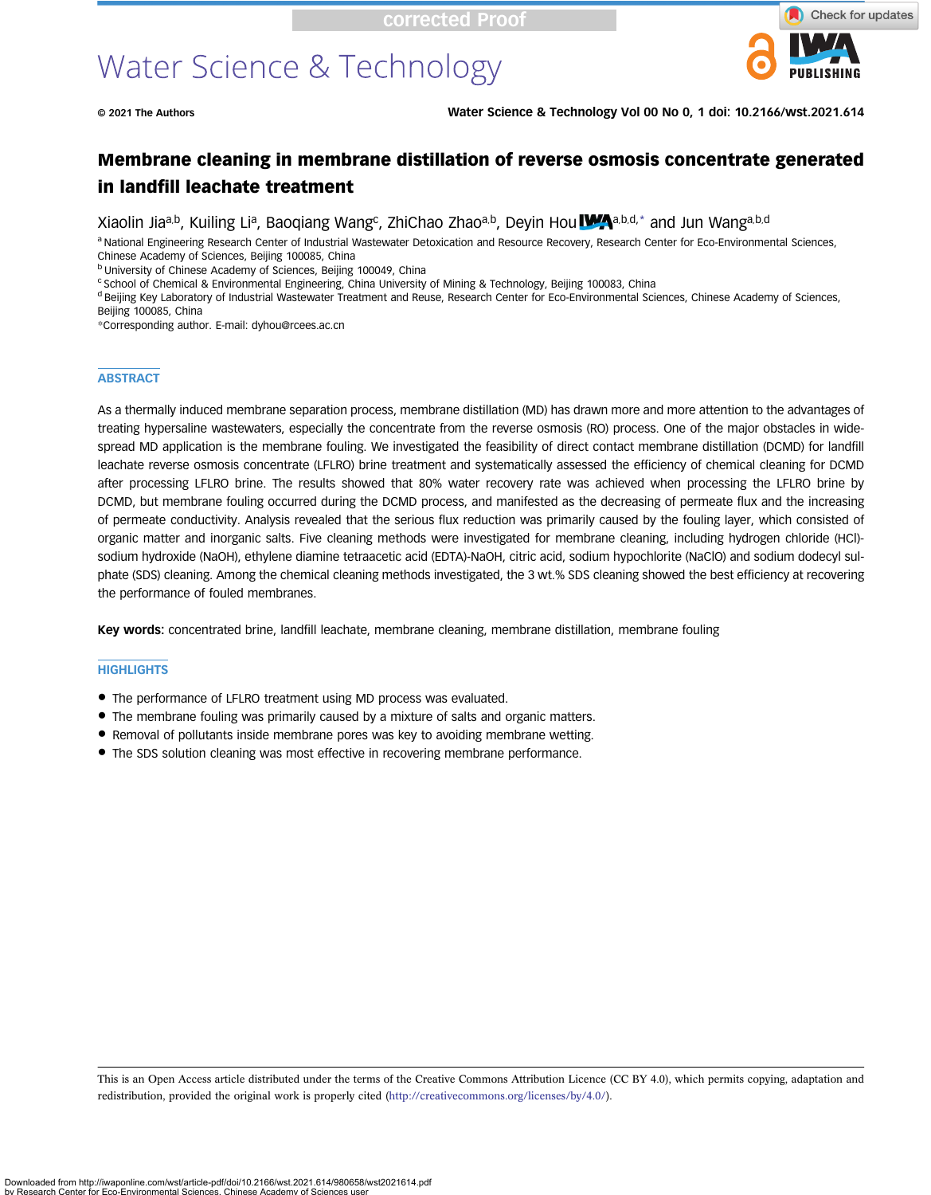# Water Science & Technology



© 2021 The Authors Water Science & Technology Vol 00 No 0, 1 doi: 10.2166/wst.2021.614

## Membrane cleaning in membrane distillation of reverse osmosis concentrate generated in landfill leachate treatment

Xiaolin Jiaa,b, Kuiling Lia, Baoqiang Wang<sup>c</sup>, ZhiChao Zhaoa,b, Deyin Hou WAa,b,d,\* and Jun Wanga,b,d

a National Engineering Research Center of Industrial Wastewater Detoxication and Resource Recovery, Research Center for Eco-Environmental Sciences,

Chinese Academy of Sciences, Beijing 100085, China b University of Chinese Academy of Sciences, Beijing 100049, China

<sup>c</sup> School of Chemical & Environmental Engineering, China University of Mining & Technology, Beijing 100083, China

<sup>d</sup> Beijing Key Laboratory of Industrial Wastewater Treatment and Reuse, Research Center for Eco-Environmental Sciences, Chinese Academy of Sciences, Beijing 100085, China

\*Corresponding author. E-mail: [dyhou@rcees.ac.cn](mailto:dyhou@rcees.ac.cn)

#### **ABSTRACT**

As a thermally induced membrane separation process, membrane distillation (MD) has drawn more and more attention to the advantages of treating hypersaline wastewaters, especially the concentrate from the reverse osmosis (RO) process. One of the major obstacles in widespread MD application is the membrane fouling. We investigated the feasibility of direct contact membrane distillation (DCMD) for landfill leachate reverse osmosis concentrate (LFLRO) brine treatment and systematically assessed the efficiency of chemical cleaning for DCMD after processing LFLRO brine. The results showed that 80% water recovery rate was achieved when processing the LFLRO brine by DCMD, but membrane fouling occurred during the DCMD process, and manifested as the decreasing of permeate flux and the increasing of permeate conductivity. Analysis revealed that the serious flux reduction was primarily caused by the fouling layer, which consisted of organic matter and inorganic salts. Five cleaning methods were investigated for membrane cleaning, including hydrogen chloride (HCl) sodium hydroxide (NaOH), ethylene diamine tetraacetic acid (EDTA)-NaOH, citric acid, sodium hypochlorite (NaClO) and sodium dodecyl sulphate (SDS) cleaning. Among the chemical cleaning methods investigated, the 3 wt.% SDS cleaning showed the best efficiency at recovering the performance of fouled membranes.

Key words: concentrated brine, landfill leachate, membrane cleaning, membrane distillation, membrane fouling

#### **HIGHLIGHTS**

- The performance of LFLRO treatment using MD process was evaluated.
- The membrane fouling was primarily caused by a mixture of salts and organic matters.
- Removal of pollutants inside membrane pores was key to avoiding membrane wetting.
- The SDS solution cleaning was most effective in recovering membrane performance.

This is an Open Access article distributed under the terms of the Creative Commons Attribution Licence (CC BY 4.0), which permits copying, adaptation and redistribution, provided the original work is properly cited ([http://creativecommons.org/licenses/by/4.0/\)](http://creativecommons.org/licenses/by/4.0/).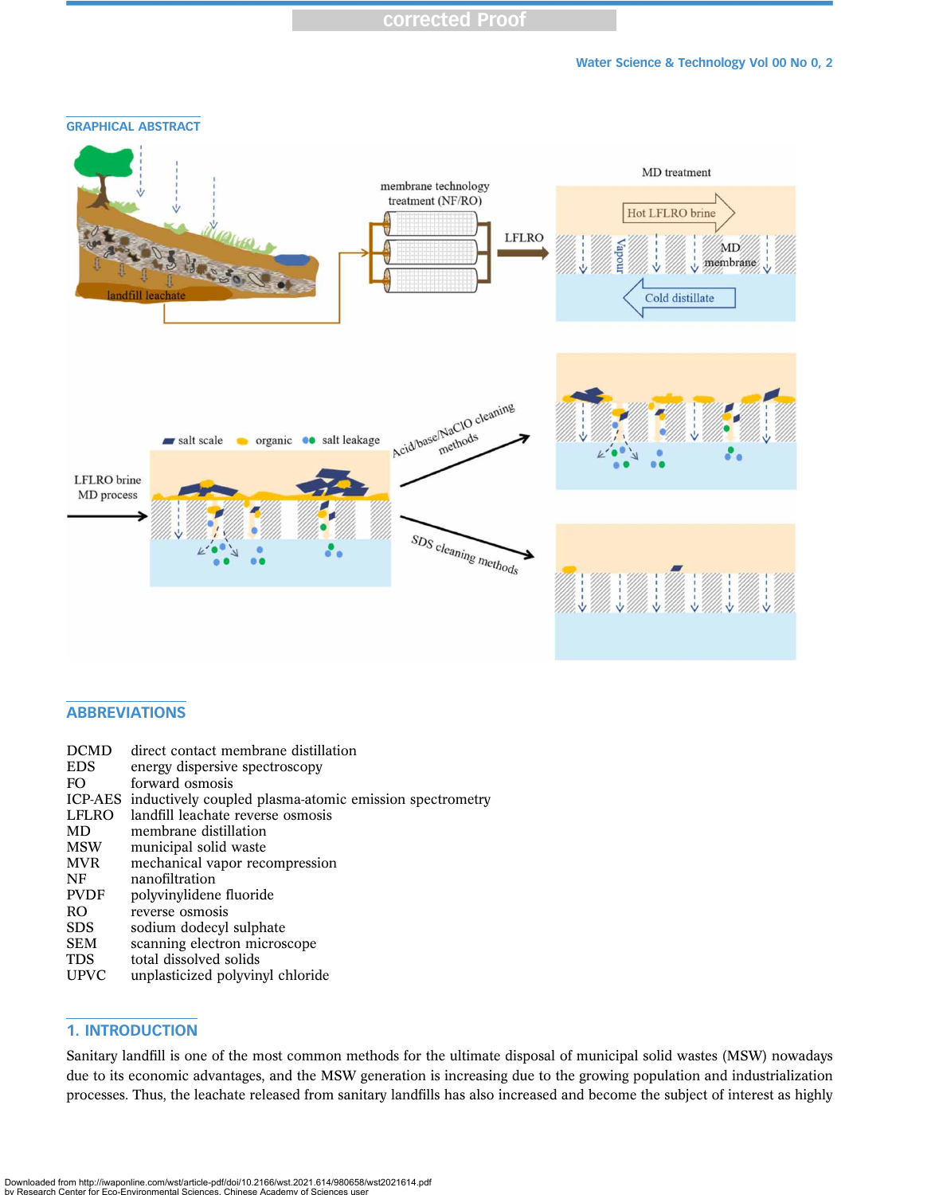

## ABBREVIATIONS

| <b>DCMD</b><br><b>EDS</b><br>FO. | direct contact membrane distillation<br>energy dispersive spectroscopy<br>forward osmosis |
|----------------------------------|-------------------------------------------------------------------------------------------|
|                                  | ICP-AES inductively coupled plasma-atomic emission spectrometry                           |
| LFLRO                            | landfill leachate reverse osmosis                                                         |
| MD                               | membrane distillation                                                                     |
| <b>MSW</b>                       | municipal solid waste                                                                     |
| <b>MVR</b>                       | mechanical vapor recompression                                                            |
| NF                               | nanofiltration                                                                            |
| <b>PVDF</b>                      | polyvinylidene fluoride                                                                   |
| RO.                              | reverse osmosis                                                                           |
| <b>SDS</b>                       | sodium dodecyl sulphate                                                                   |
| <b>SEM</b>                       | scanning electron microscope                                                              |
| TDS                              | total dissolved solids                                                                    |
| <b>UPVC</b>                      | unplasticized polyvinyl chloride                                                          |
|                                  |                                                                                           |

## 1. INTRODUCTION

Sanitary landfill is one of the most common methods for the ultimate disposal of municipal solid wastes (MSW) nowadays due to its economic advantages, and the MSW generation is increasing due to the growing population and industrialization processes. Thus, the leachate released from sanitary landfills has also increased and become the subject of interest as highly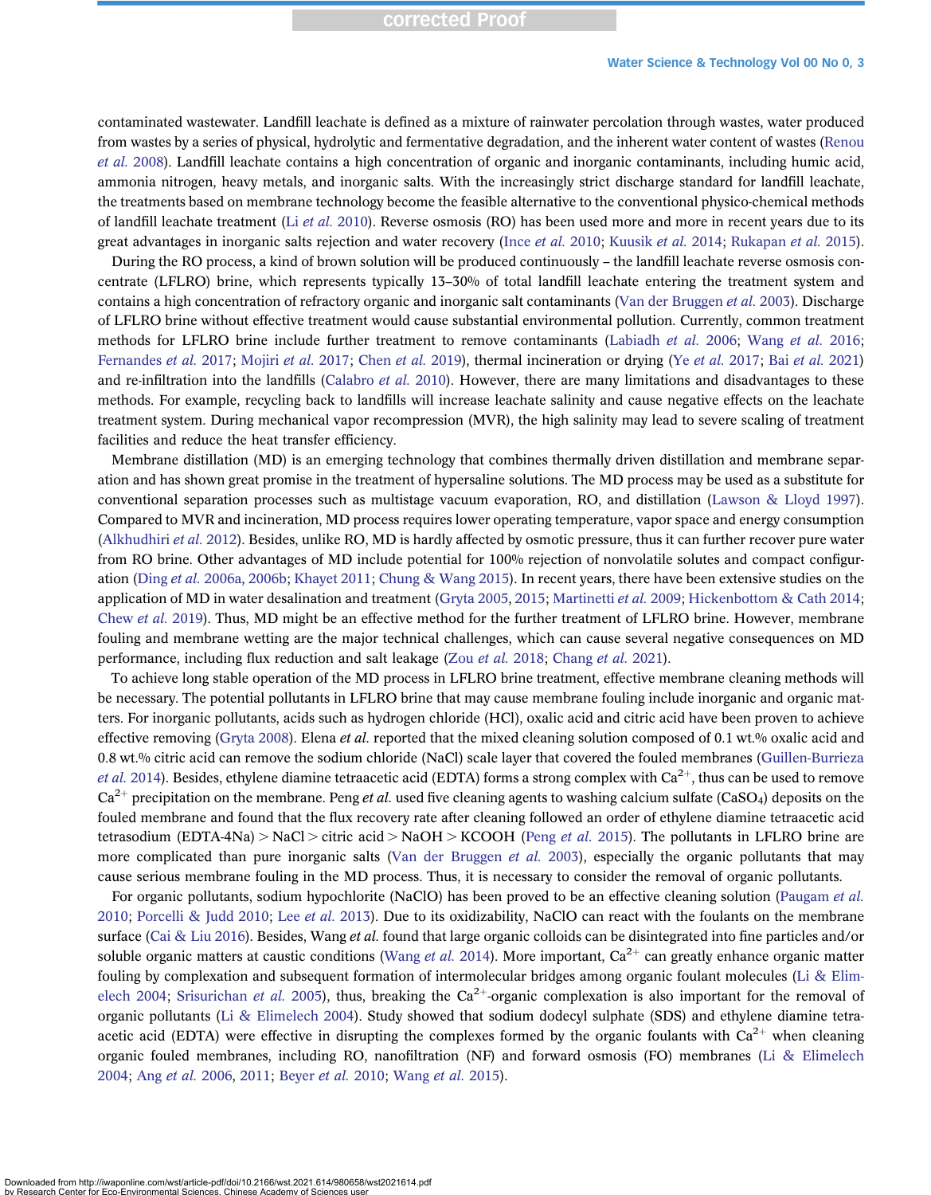## corrected Proof

#### Water Science & Technology Vol 00 No 0, 3

contaminated wastewater. Landfill leachate is defined as a mixture of rainwater percolation through wastes, water produced from wastes by a series of physical, hydrolytic and fermentative degradation, and the inherent water content of wastes ([Renou](#page-12-0) [et al.](#page-12-0) 2008). Landfill leachate contains a high concentration of organic and inorganic contaminants, including humic acid, ammonia nitrogen, heavy metals, and inorganic salts. With the increasingly strict discharge standard for landfill leachate, the treatments based on membrane technology become the feasible alternative to the conventional physico-chemical methods of landfill leachate treatment (Li [et al.](#page-11-0) 2010). Reverse osmosis (RO) has been used more and more in recent years due to its great advantages in inorganic salts rejection and water recovery (Ince [et al.](#page-11-0) 2010; [Kuusik](#page-11-0) et al. 2014; [Rukapan](#page-12-0) et al. 2015).

During the RO process, a kind of brown solution will be produced continuously – the landfill leachate reverse osmosis concentrate (LFLRO) brine, which represents typically 13–30% of total landfill leachate entering the treatment system and contains a high concentration of refractory organic and inorganic salt contaminants [\(Van der Bruggen](#page-12-0) et al. 2003). Discharge of LFLRO brine without effective treatment would cause substantial environmental pollution. Currently, common treatment methods for LFLRO brine include further treatment to remove contaminants ([Labiadh](#page-11-0) *et al.* 2006; [Wang](#page-12-0) *et al.* 2016; [Fernandes](#page-11-0) et al. 2017; [Mojiri](#page-11-0) et al. 2017; [Chen](#page-11-0) et al. 2019), thermal incineration or drying (Ye et al. [2017;](#page-12-0) Bai [et al.](#page-10-0) 2021) and re-infiltration into the landfills [\(Calabro](#page-11-0) *et al.* 2010). However, there are many limitations and disadvantages to these methods. For example, recycling back to landfills will increase leachate salinity and cause negative effects on the leachate treatment system. During mechanical vapor recompression (MVR), the high salinity may lead to severe scaling of treatment facilities and reduce the heat transfer efficiency.

Membrane distillation (MD) is an emerging technology that combines thermally driven distillation and membrane separation and has shown great promise in the treatment of hypersaline solutions. The MD process may be used as a substitute for conventional separation processes such as multistage vacuum evaporation, RO, and distillation [\(Lawson & Lloyd 1997\)](#page-11-0). Compared to MVR and incineration, MD process requires lower operating temperature, vapor space and energy consumption [\(Alkhudhiri](#page-10-0) et al. 2012). Besides, unlike RO, MD is hardly affected by osmotic pressure, thus it can further recover pure water from RO brine. Other advantages of MD include potential for 100% rejection of nonvolatile solutes and compact configur-ation (Ding et al. [2006a](#page-11-0), [2006b;](#page-11-0) [Khayet 2011](#page-11-0); [Chung & Wang 2015\)](#page-11-0). In recent years, there have been extensive studies on the application of MD in water desalination and treatment ([Gryta 2005,](#page-11-0) [2015](#page-11-0); [Martinetti](#page-11-0) et al. 2009; [Hickenbottom & Cath 2014](#page-11-0); [Chew](#page-11-0) et al. 2019). Thus, MD might be an effective method for the further treatment of LFLRO brine. However, membrane fouling and membrane wetting are the major technical challenges, which can cause several negative consequences on MD performance, including flux reduction and salt leakage (Zou [et al.](#page-12-0) 2018; [Chang](#page-11-0) et al. 2021).

To achieve long stable operation of the MD process in LFLRO brine treatment, effective membrane cleaning methods will be necessary. The potential pollutants in LFLRO brine that may cause membrane fouling include inorganic and organic matters. For inorganic pollutants, acids such as hydrogen chloride (HCl), oxalic acid and citric acid have been proven to achieve effective removing ([Gryta 2008](#page-11-0)). Elena *et al.* reported that the mixed cleaning solution composed of 0.1 wt.% oxalic acid and 0.8 wt.% citric acid can remove the sodium chloride (NaCl) scale layer that covered the fouled membranes [\(Guillen-Burrieza](#page-11-0) *et al.* [2014](#page-11-0)). Besides, ethylene diamine tetraacetic acid (EDTA) forms a strong complex with  $Ca^{2+}$ , thus can be used to remove  $Ca^{2+}$  precipitation on the membrane. Peng *et al.* used five cleaning agents to washing calcium sulfate (CaSO<sub>4</sub>) deposits on the fouled membrane and found that the flux recovery rate after cleaning followed an order of ethylene diamine tetraacetic acid tetrasodium (EDTA-4Na) > NaCl > citric acid > NaOH > KCOOH (Peng *[et al.](#page-12-0)* 2015). The pollutants in LFLRO brine are more complicated than pure inorganic salts [\(Van der Bruggen](#page-12-0) et al. 2003), especially the organic pollutants that may cause serious membrane fouling in the MD process. Thus, it is necessary to consider the removal of organic pollutants.

For organic pollutants, sodium hypochlorite (NaClO) has been proved to be an effective cleaning solution ([Paugam](#page-11-0) et al. [2010;](#page-11-0) [Porcelli & Judd 2010](#page-12-0); Lee [et al.](#page-11-0) 2013). Due to its oxidizability, NaClO can react with the foulants on the membrane surface [\(Cai & Liu 2016\)](#page-11-0). Besides, Wang *et al.* found that large organic colloids can be disintegrated into fine particles and/or soluble organic matters at caustic conditions ([Wang](#page-12-0) *et al.* 2014). More important,  $Ca^{2+}$  can greatly enhance organic matter fouling by complexation and subsequent formation of intermolecular bridges among organic foulant molecules ([Li & Elim](#page-11-0)[elech 2004](#page-11-0); [Srisurichan](#page-12-0) et al. 2005), thus, breaking the  $Ca^{2+}$ -organic complexation is also important for the removal of organic pollutants [\(Li & Elimelech 2004\)](#page-11-0). Study showed that sodium dodecyl sulphate (SDS) and ethylene diamine tetraacetic acid (EDTA) were effective in disrupting the complexes formed by the organic foulants with  $Ca^{2+}$  when cleaning organic fouled membranes, including RO, nanofiltration (NF) and forward osmosis (FO) membranes [\(Li & Elimelech](#page-11-0) [2004;](#page-11-0) Ang [et al.](#page-10-0) 2006, [2011](#page-10-0); [Beyer](#page-10-0) et al. 2010; [Wang](#page-12-0) et al. 2015).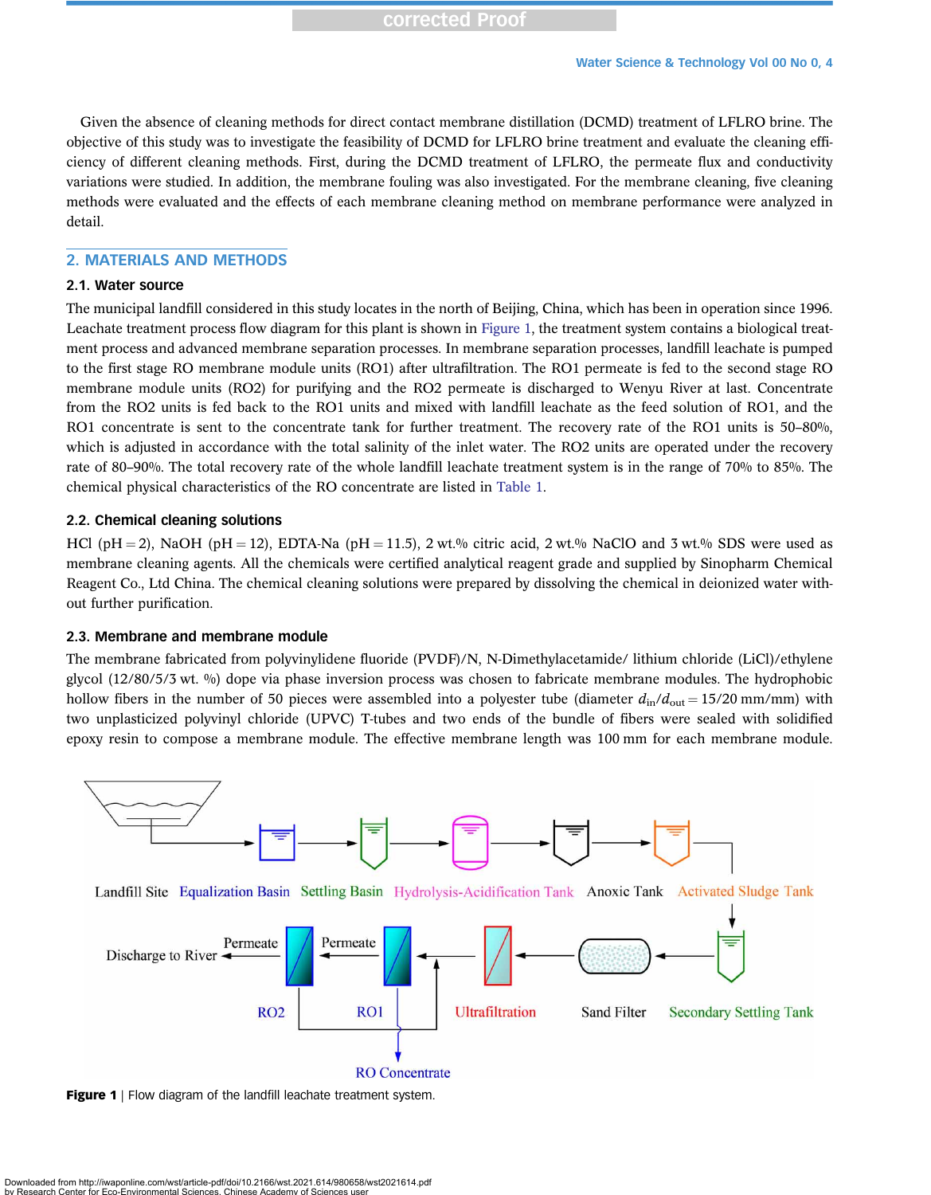Given the absence of cleaning methods for direct contact membrane distillation (DCMD) treatment of LFLRO brine. The objective of this study was to investigate the feasibility of DCMD for LFLRO brine treatment and evaluate the cleaning efficiency of different cleaning methods. First, during the DCMD treatment of LFLRO, the permeate flux and conductivity variations were studied. In addition, the membrane fouling was also investigated. For the membrane cleaning, five cleaning methods were evaluated and the effects of each membrane cleaning method on membrane performance were analyzed in detail.

## 2. MATERIALS AND METHODS

## 2.1. Water source

The municipal landfill considered in this study locates in the north of Beijing, China, which has been in operation since 1996. Leachate treatment process flow diagram for this plant is shown in Figure 1, the treatment system contains a biological treatment process and advanced membrane separation processes. In membrane separation processes, landfill leachate is pumped to the first stage RO membrane module units (RO1) after ultrafiltration. The RO1 permeate is fed to the second stage RO membrane module units (RO2) for purifying and the RO2 permeate is discharged to Wenyu River at last. Concentrate from the RO2 units is fed back to the RO1 units and mixed with landfill leachate as the feed solution of RO1, and the RO1 concentrate is sent to the concentrate tank for further treatment. The recovery rate of the RO1 units is 50–80%, which is adjusted in accordance with the total salinity of the inlet water. The RO2 units are operated under the recovery rate of 80–90%. The total recovery rate of the whole landfill leachate treatment system is in the range of 70% to 85%. The chemical physical characteristics of the RO concentrate are listed in [Table 1.](#page-4-0)

## 2.2. Chemical cleaning solutions

HCl (pH = 2), NaOH (pH = 12), EDTA-Na (pH = 11.5), 2 wt.% citric acid, 2 wt.% NaClO and 3 wt.% SDS were used as membrane cleaning agents. All the chemicals were certified analytical reagent grade and supplied by Sinopharm Chemical Reagent Co., Ltd China. The chemical cleaning solutions were prepared by dissolving the chemical in deionized water without further purification.

#### 2.3. Membrane and membrane module

The membrane fabricated from polyvinylidene fluoride (PVDF)/N, N-Dimethylacetamide/ lithium chloride (LiCl)/ethylene glycol (12/80/5/3 wt. %) dope via phase inversion process was chosen to fabricate membrane modules. The hydrophobic hollow fibers in the number of 50 pieces were assembled into a polyester tube (diameter  $d_{\text{in}}/d_{\text{out}} = 15/20 \text{ mm/mm}$ ) with two unplasticized polyvinyl chloride (UPVC) T-tubes and two ends of the bundle of fibers were sealed with solidified epoxy resin to compose a membrane module. The effective membrane length was 100 mm for each membrane module.



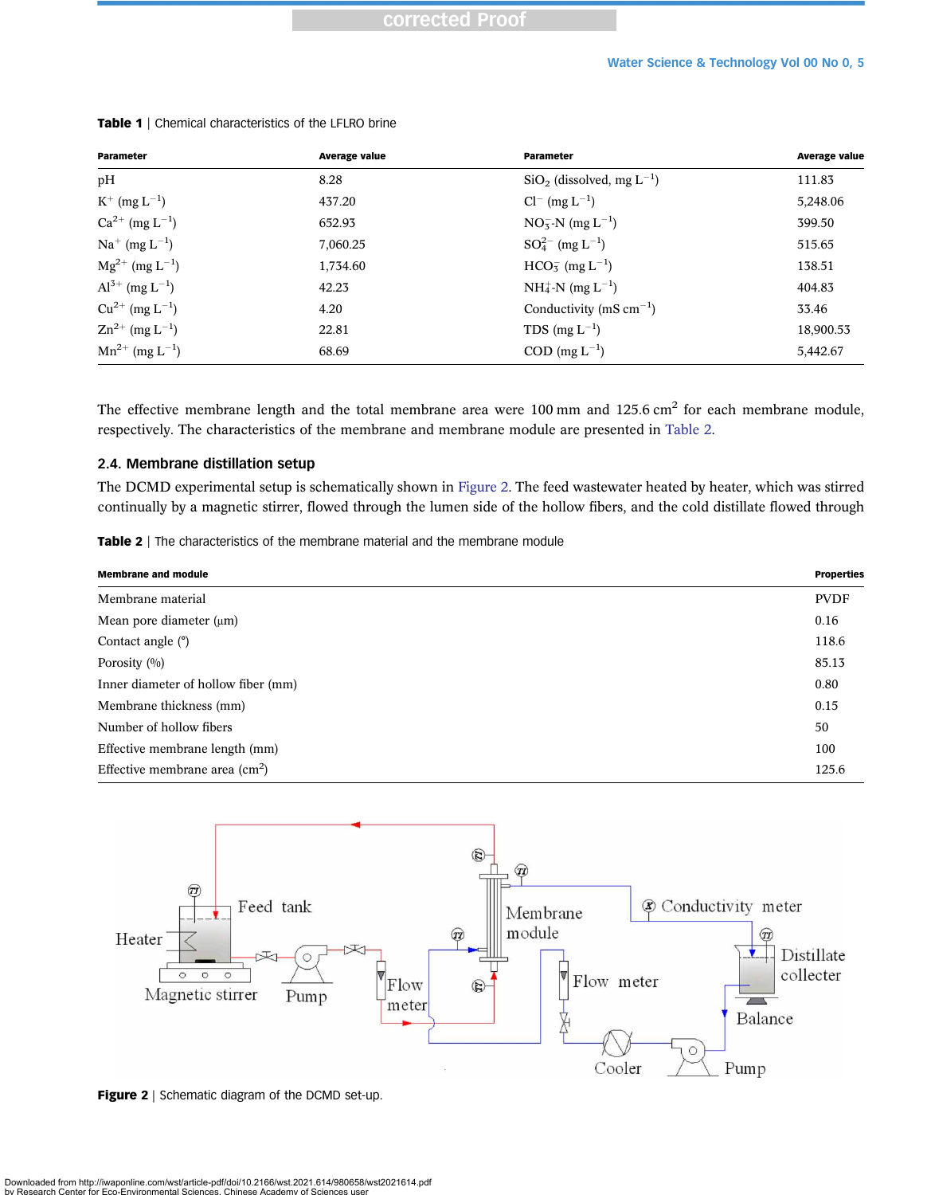| Parameter                       | <b>Average value</b> | Parameter                               | <b>Average value</b> |
|---------------------------------|----------------------|-----------------------------------------|----------------------|
| pH                              | 8.28                 | $SiO2$ (dissolved, mg L <sup>-1</sup> ) | 111.83               |
| $K^{+}$ (mg $L^{-1}$ )          | 437.20               | $Cl^{-}$ (mg $L^{-1}$ )                 | 5,248.06             |
| $Ca^{2+}$ (mg $L^{-1}$ )        | 652.93               | $NO_3^-N$ (mg $L^{-1}$ )                | 399.50               |
| $Na^{+}$ (mg $L^{-1}$ )         | 7,060.25             | $SO_4^{2-}$ (mg $L^{-1}$ )              | 515.65               |
| $Mg^{2+}$ (mg $L^{-1}$ )        | 1,734.60             | $HCO_{5}^{-}$ (mg L <sup>-1</sup> )     | 138.51               |
| $Al^{3+}$ (mg $L^{-1}$ )        | 42.23                | $NH_4^+$ -N (mg L <sup>-1</sup> )       | 404.83               |
| $Cu^{2+}$ (mg $L^{-1}$ )        | 4.20                 | Conductivity (mS $cm^{-1}$ )            | 33.46                |
| $\rm Zn^{2+}$ (mg $\rm L^{-1})$ | 22.81                | TDS (mg $L^{-1}$ )                      | 18,900.53            |
| $Mn^{2+}$ (mg L <sup>-1</sup> ) | 68.69                | $\text{COD (mg L}^{-1})$                | 5,442.67             |

#### <span id="page-4-0"></span>Table 1 | Chemical characteristics of the LFLRO brine

The effective membrane length and the total membrane area were 100 mm and 125.6 cm<sup>2</sup> for each membrane module, respectively. The characteristics of the membrane and membrane module are presented in Table 2.

## 2.4. Membrane distillation setup

The DCMD experimental setup is schematically shown in Figure 2. The feed wastewater heated by heater, which was stirred continually by a magnetic stirrer, flowed through the lumen side of the hollow fibers, and the cold distillate flowed through

| <b>Membrane and module</b>                     | <b>Properties</b> |
|------------------------------------------------|-------------------|
| Membrane material                              | <b>PVDF</b>       |
| Mean pore diameter $(\mu m)$                   | 0.16              |
| Contact angle $(°)$                            | 118.6             |
| Porosity $(0/0)$                               | 85.13             |
| Inner diameter of hollow fiber (mm)            | 0.80              |
| Membrane thickness (mm)                        | 0.15              |
| Number of hollow fibers                        | 50                |
| Effective membrane length (mm)                 | 100               |
| Effective membrane area $\text{(cm}^2\text{)}$ |                   |



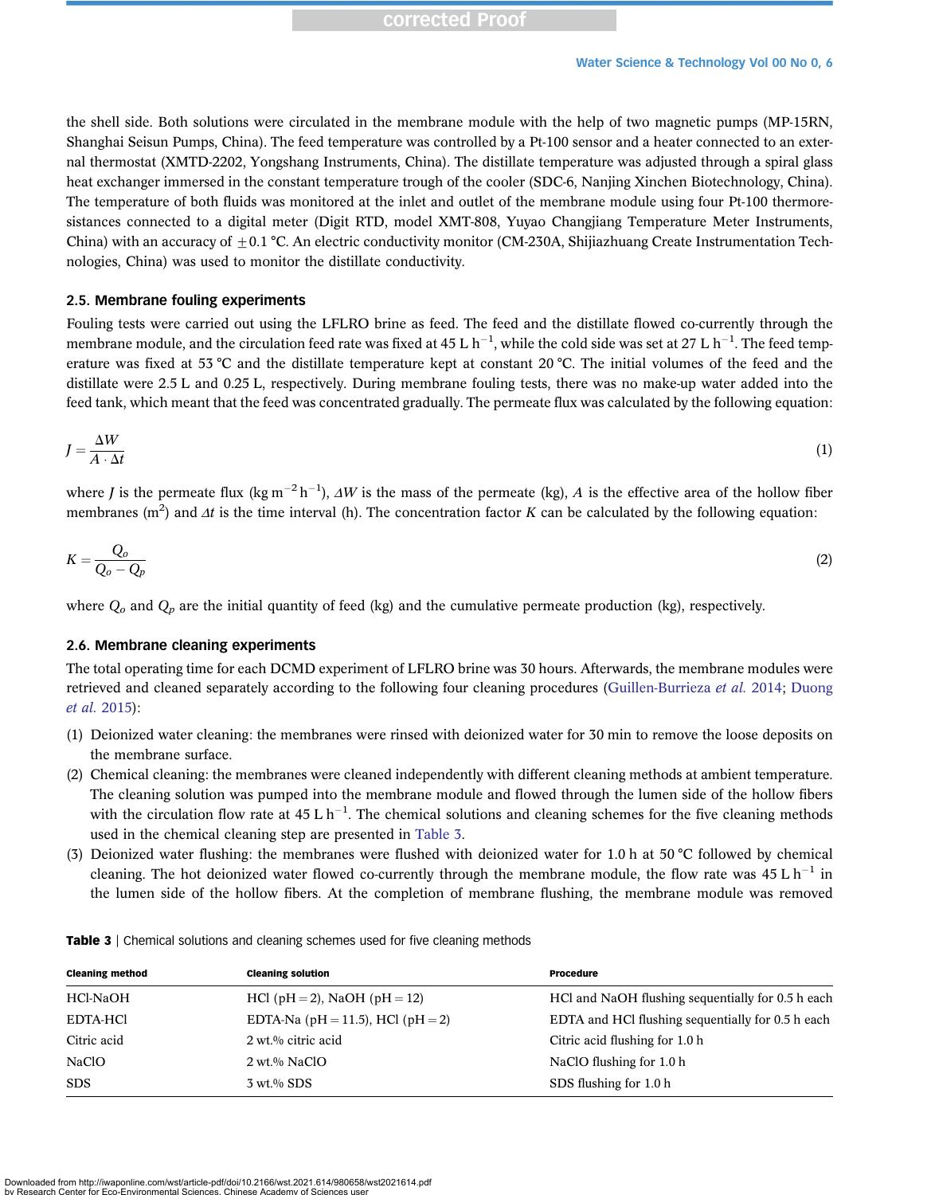## corrected Proof

the shell side. Both solutions were circulated in the membrane module with the help of two magnetic pumps (MP-15RN, Shanghai Seisun Pumps, China). The feed temperature was controlled by a Pt-100 sensor and a heater connected to an external thermostat (XMTD-2202, Yongshang Instruments, China). The distillate temperature was adjusted through a spiral glass heat exchanger immersed in the constant temperature trough of the cooler (SDC-6, Nanjing Xinchen Biotechnology, China). The temperature of both fluids was monitored at the inlet and outlet of the membrane module using four Pt-100 thermoresistances connected to a digital meter (Digit RTD, model XMT-808, Yuyao Changjiang Temperature Meter Instruments, China) with an accuracy of  $\pm 0.1$  °C. An electric conductivity monitor (CM-230A, Shijiazhuang Create Instrumentation Technologies, China) was used to monitor the distillate conductivity.

#### 2.5. Membrane fouling experiments

Fouling tests were carried out using the LFLRO brine as feed. The feed and the distillate flowed co-currently through the membrane module, and the circulation feed rate was fixed at 45 L  $h^{-1}$ , while the cold side was set at 27 L  $h^{-1}$ . The feed temperature was fixed at 53 °C and the distillate temperature kept at constant 20 °C. The initial volumes of the feed and the distillate were 2.5 L and 0.25 L, respectively. During membrane fouling tests, there was no make-up water added into the feed tank, which meant that the feed was concentrated gradually. The permeate flux was calculated by the following equation:

$$
J = \frac{\Delta W}{A \cdot \Delta t} \tag{1}
$$

where *J* is the permeate flux (kg m<sup>-2</sup>h<sup>-1</sup>),  $\Delta W$  is the mass of the permeate (kg), A is the effective area of the hollow fiber membranes (m<sup>2</sup>) and  $\Delta t$  is the time interval (h). The concentration factor K can be calculated by the following equation:

$$
K = \frac{Q_o}{Q_o - Q_p} \tag{2}
$$

where  $Q_o$  and  $Q_p$  are the initial quantity of feed (kg) and the cumulative permeate production (kg), respectively.

## 2.6. Membrane cleaning experiments

The total operating time for each DCMD experiment of LFLRO brine was 30 hours. Afterwards, the membrane modules were retrieved and cleaned separately according to the following four cleaning procedures [\(Guillen-Burrieza](#page-11-0) et al. 2014; [Duong](#page-11-0) [et al.](#page-11-0) 2015):

- (1) Deionized water cleaning: the membranes were rinsed with deionized water for 30 min to remove the loose deposits on the membrane surface.
- (2) Chemical cleaning: the membranes were cleaned independently with different cleaning methods at ambient temperature. The cleaning solution was pumped into the membrane module and flowed through the lumen side of the hollow fibers with the circulation flow rate at  $45 L h^{-1}$ . The chemical solutions and cleaning schemes for the five cleaning methods used in the chemical cleaning step are presented in Table 3.
- (3) Deionized water flushing: the membranes were flushed with deionized water for 1.0 h at 50 °C followed by chemical cleaning. The hot deionized water flowed co-currently through the membrane module, the flow rate was  $45 L h^{-1}$  in the lumen side of the hollow fibers. At the completion of membrane flushing, the membrane module was removed

| <b>Cleaning method</b> | <b>Cleaning solution</b>          | <b>Procedure</b>                                  |
|------------------------|-----------------------------------|---------------------------------------------------|
| HCl-NaOH               | $HCl$ (pH = 2), NaOH (pH = 12)    | HCl and NaOH flushing sequentially for 0.5 h each |
| <b>EDTA-HCI</b>        | EDTA-Na (pH = 11.5), HCl (pH = 2) | EDTA and HCl flushing sequentially for 0.5 h each |
| Citric acid            | 2 wt.% citric acid                | Citric acid flushing for 1.0 h                    |
| NaClO                  | $2 \text{ wt.} %$ NaClO           | NaClO flushing for 1.0 h                          |
| <b>SDS</b>             | $3 \text{ wt.} %$ SDS             | SDS flushing for 1.0 h                            |

Table 3 | Chemical solutions and cleaning schemes used for five cleaning methods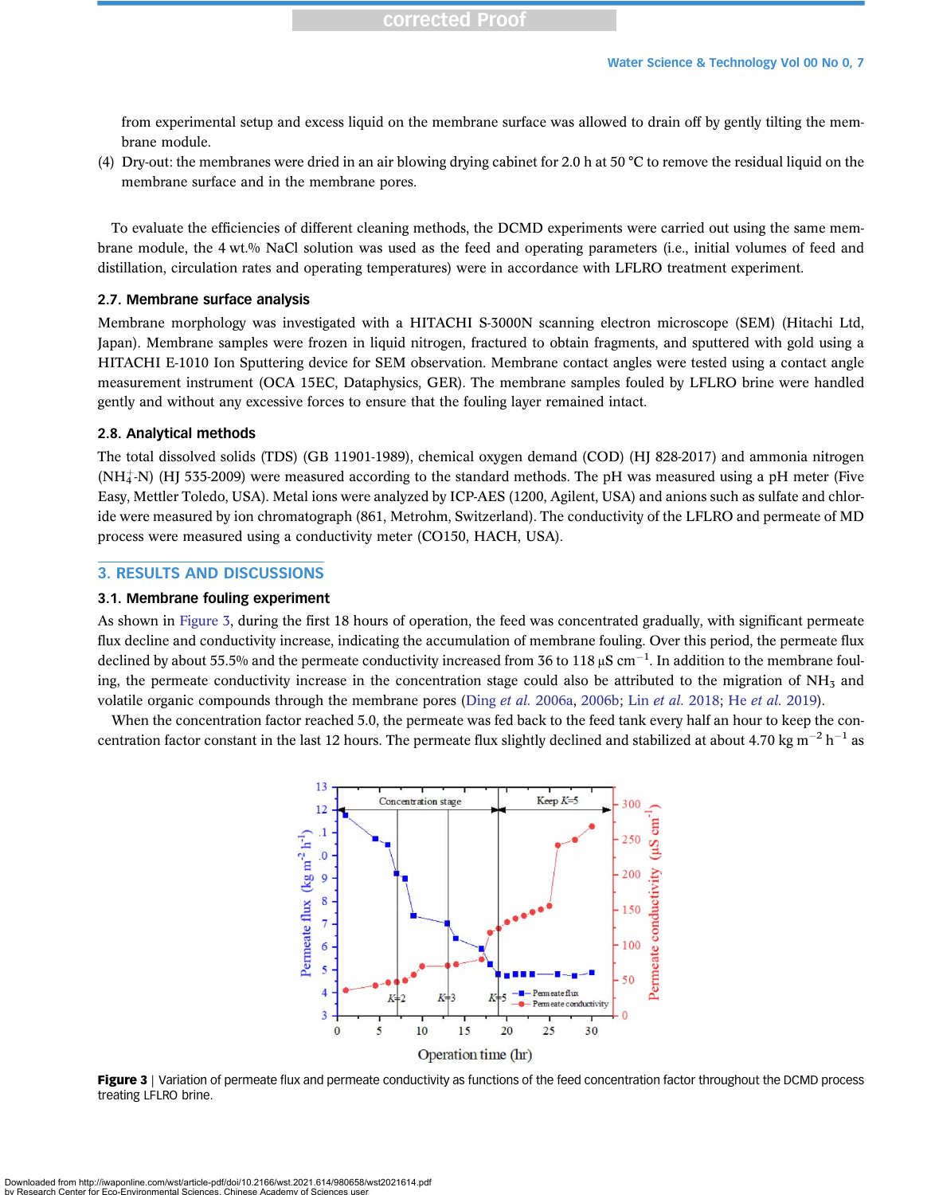<span id="page-6-0"></span>from experimental setup and excess liquid on the membrane surface was allowed to drain off by gently tilting the membrane module.

(4) Dry-out: the membranes were dried in an air blowing drying cabinet for 2.0 h at 50 °C to remove the residual liquid on the membrane surface and in the membrane pores.

To evaluate the efficiencies of different cleaning methods, the DCMD experiments were carried out using the same membrane module, the 4 wt.% NaCl solution was used as the feed and operating parameters (i.e., initial volumes of feed and distillation, circulation rates and operating temperatures) were in accordance with LFLRO treatment experiment.

#### 2.7. Membrane surface analysis

Membrane morphology was investigated with a HITACHI S-3000N scanning electron microscope (SEM) (Hitachi Ltd, Japan). Membrane samples were frozen in liquid nitrogen, fractured to obtain fragments, and sputtered with gold using a HITACHI E-1010 Ion Sputtering device for SEM observation. Membrane contact angles were tested using a contact angle measurement instrument (OCA 15EC, Dataphysics, GER). The membrane samples fouled by LFLRO brine were handled gently and without any excessive forces to ensure that the fouling layer remained intact.

## 2.8. Analytical methods

The total dissolved solids (TDS) (GB 11901-1989), chemical oxygen demand (COD) (HJ 828-2017) and ammonia nitrogen  $(NH_4^+N)$  (HJ 535-2009) were measured according to the standard methods. The pH was measured using a pH meter (Five Easy, Mettler Toledo, USA). Metal ions were analyzed by ICP-AES (1200, Agilent, USA) and anions such as sulfate and chloride were measured by ion chromatograph (861, Metrohm, Switzerland). The conductivity of the LFLRO and permeate of MD process were measured using a conductivity meter (CO150, HACH, USA).

## 3. RESULTS AND DISCUSSIONS

## 3.1. Membrane fouling experiment

As shown in Figure 3, during the first 18 hours of operation, the feed was concentrated gradually, with significant permeate flux decline and conductivity increase, indicating the accumulation of membrane fouling. Over this period, the permeate flux declined by about 55.5% and the permeate conductivity increased from 36 to 118 µS cm $^{-1}$ . In addition to the membrane fouling, the permeate conductivity increase in the concentration stage could also be attributed to the migration of  $NH<sub>3</sub>$  and volatile organic compounds through the membrane pores (Ding et al. [2006a](#page-11-0), [2006b;](#page-11-0) Lin [et al.](#page-11-0) 2018; He et al. 2019).

When the concentration factor reached 5.0, the permeate was fed back to the feed tank every half an hour to keep the concentration factor constant in the last 12 hours. The permeate flux slightly declined and stabilized at about 4.70 kg m<sup>-2</sup> h<sup>-1</sup> as



Figure 3 | Variation of permeate flux and permeate conductivity as functions of the feed concentration factor throughout the DCMD process treating LFLRO brine.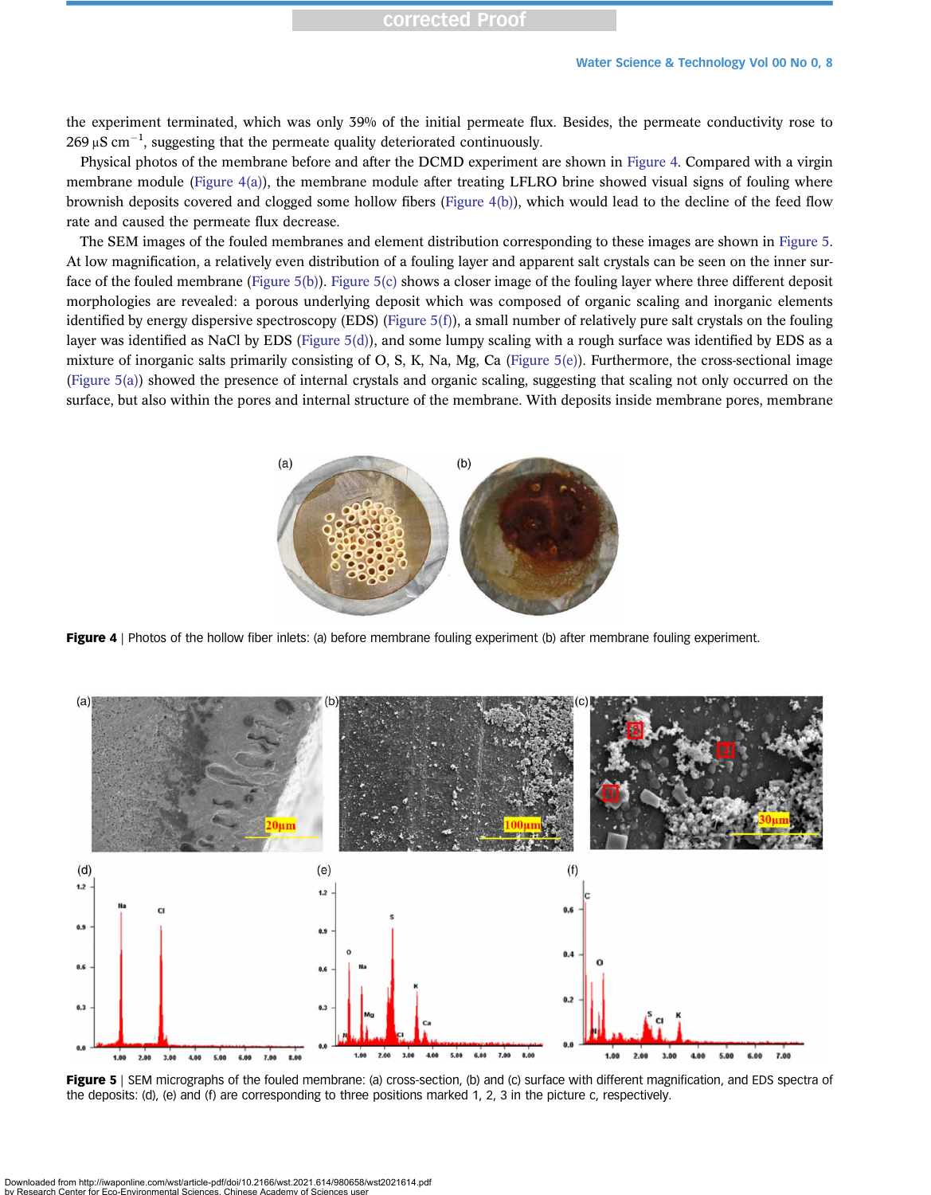the experiment terminated, which was only 39% of the initial permeate flux. Besides, the permeate conductivity rose to 269  $\mu$ S cm<sup>-1</sup>, suggesting that the permeate quality deteriorated continuously.

Physical photos of the membrane before and after the DCMD experiment are shown in Figure 4. Compared with a virgin membrane module (Figure 4(a)), the membrane module after treating LFLRO brine showed visual signs of fouling where brownish deposits covered and clogged some hollow fibers (Figure 4(b)), which would lead to the decline of the feed flow rate and caused the permeate flux decrease.

The SEM images of the fouled membranes and element distribution corresponding to these images are shown in Figure 5. At low magnification, a relatively even distribution of a fouling layer and apparent salt crystals can be seen on the inner surface of the fouled membrane (Figure 5(b)). Figure 5(c) shows a closer image of the fouling layer where three different deposit morphologies are revealed: a porous underlying deposit which was composed of organic scaling and inorganic elements identified by energy dispersive spectroscopy (EDS) (Figure 5(f)), a small number of relatively pure salt crystals on the fouling layer was identified as NaCl by EDS (Figure  $5(d)$ ), and some lumpy scaling with a rough surface was identified by EDS as a mixture of inorganic salts primarily consisting of O, S, K, Na, Mg, Ca (Figure 5(e)). Furthermore, the cross-sectional image (Figure 5(a)) showed the presence of internal crystals and organic scaling, suggesting that scaling not only occurred on the surface, but also within the pores and internal structure of the membrane. With deposits inside membrane pores, membrane



Figure 4 | Photos of the hollow fiber inlets: (a) before membrane fouling experiment (b) after membrane fouling experiment.



Figure 5 | SEM micrographs of the fouled membrane: (a) cross-section, (b) and (c) surface with different magnification, and EDS spectra of the deposits: (d), (e) and (f) are corresponding to three positions marked 1, 2, 3 in the picture c, respectively.

vnloaded from http://iwaponline.com/wst/article-pdf/doi/10.2166/wst.2021.614/980658/wst2021614.pdf by Research Center for Eco-Environmental Sciences. Chinese Academy of Sciences user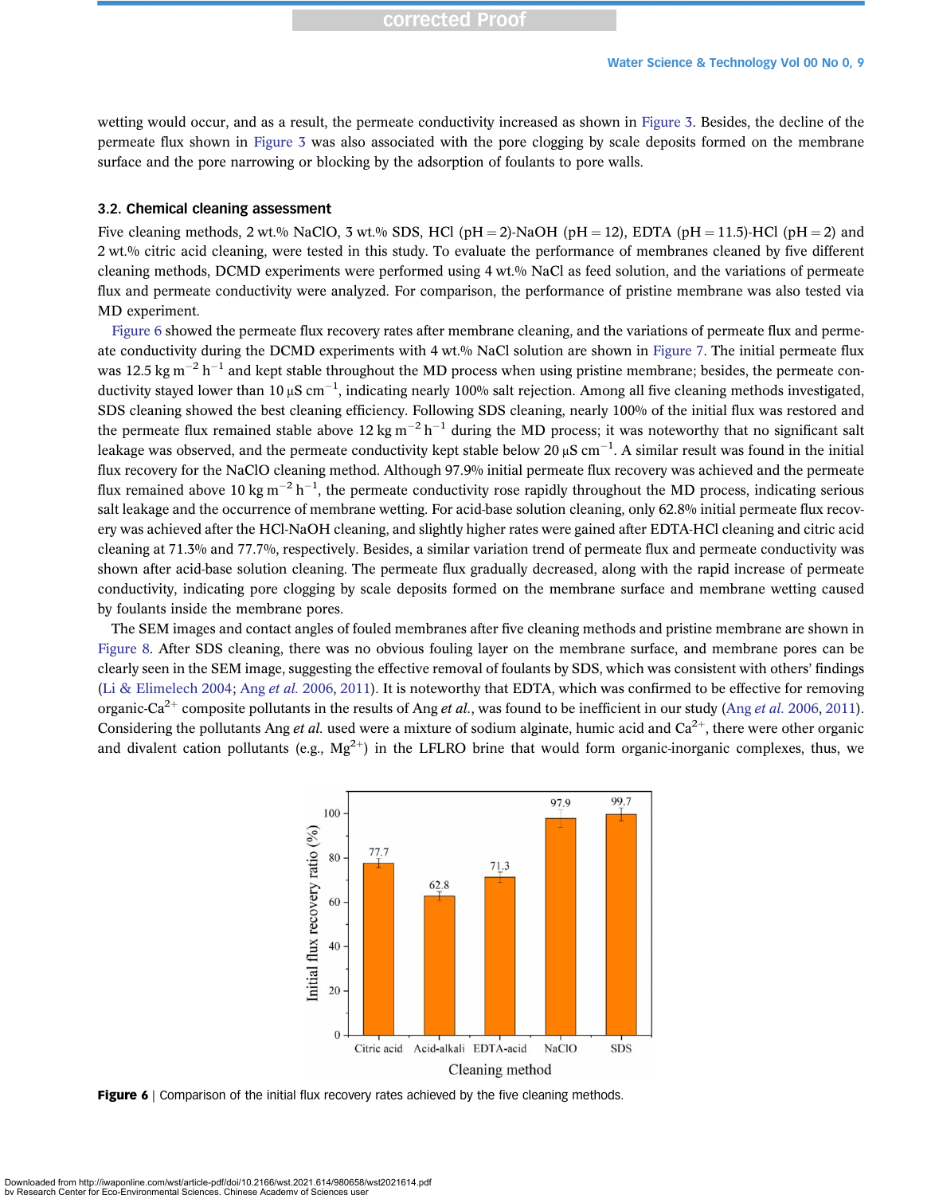wetting would occur, and as a result, the permeate conductivity increased as shown in [Figure 3.](#page-6-0) Besides, the decline of the permeate flux shown in [Figure 3](#page-6-0) was also associated with the pore clogging by scale deposits formed on the membrane surface and the pore narrowing or blocking by the adsorption of foulants to pore walls.

#### 3.2. Chemical cleaning assessment

Five cleaning methods, 2 wt.% NaClO, 3 wt.% SDS, HCl (pH = 2)-NaOH (pH = 12), EDTA (pH = 11.5)-HCl (pH = 2) and 2 wt.% citric acid cleaning, were tested in this study. To evaluate the performance of membranes cleaned by five different cleaning methods, DCMD experiments were performed using 4 wt.% NaCl as feed solution, and the variations of permeate flux and permeate conductivity were analyzed. For comparison, the performance of pristine membrane was also tested via MD experiment.

Figure 6 showed the permeate flux recovery rates after membrane cleaning, and the variations of permeate flux and perme-ate conductivity during the DCMD experiments with 4 wt.% NaCl solution are shown in [Figure 7.](#page-9-0) The initial permeate flux was 12.5 kg m<sup>-2</sup> h<sup>-1</sup> and kept stable throughout the MD process when using pristine membrane; besides, the permeate conductivity stayed lower than 10 µS cm<sup>-1</sup>, indicating nearly 100% salt rejection. Among all five cleaning methods investigated, SDS cleaning showed the best cleaning efficiency. Following SDS cleaning, nearly 100% of the initial flux was restored and the permeate flux remained stable above 12 kg m<sup>-2</sup> h<sup>-1</sup> during the MD process; it was noteworthy that no significant salt leakage was observed, and the permeate conductivity kept stable below 20 µS cm $^{-1}$ . A similar result was found in the initial flux recovery for the NaClO cleaning method. Although 97.9% initial permeate flux recovery was achieved and the permeate flux remained above 10 kg m<sup>-2</sup> h<sup>-1</sup>, the permeate conductivity rose rapidly throughout the MD process, indicating serious salt leakage and the occurrence of membrane wetting. For acid-base solution cleaning, only 62.8% initial permeate flux recovery was achieved after the HCl-NaOH cleaning, and slightly higher rates were gained after EDTA-HCl cleaning and citric acid cleaning at 71.3% and 77.7%, respectively. Besides, a similar variation trend of permeate flux and permeate conductivity was shown after acid-base solution cleaning. The permeate flux gradually decreased, along with the rapid increase of permeate conductivity, indicating pore clogging by scale deposits formed on the membrane surface and membrane wetting caused by foulants inside the membrane pores.

The SEM images and contact angles of fouled membranes after five cleaning methods and pristine membrane are shown in [Figure 8](#page-9-0). After SDS cleaning, there was no obvious fouling layer on the membrane surface, and membrane pores can be clearly seen in the SEM image, suggesting the effective removal of foulants by SDS, which was consistent with others' findings [\(Li & Elimelech 2004](#page-11-0); Ang et al. [2006](#page-10-0), [2011\)](#page-10-0). It is noteworthy that EDTA, which was confirmed to be effective for removing organic-Ca<sup>2+</sup> composite pollutants in the results of Ang *et al.*, was found to be inefficient in our study (Ang *et al.* [2006](#page-10-0), [2011\)](#page-10-0). Considering the pollutants Ang et al. used were a mixture of sodium alginate, humic acid and  $Ca^{2+}$ , there were other organic and divalent cation pollutants (e.g.,  $Mg^{2+}$ ) in the LFLRO brine that would form organic-inorganic complexes, thus, we



Figure 6 | Comparison of the initial flux recovery rates achieved by the five cleaning methods.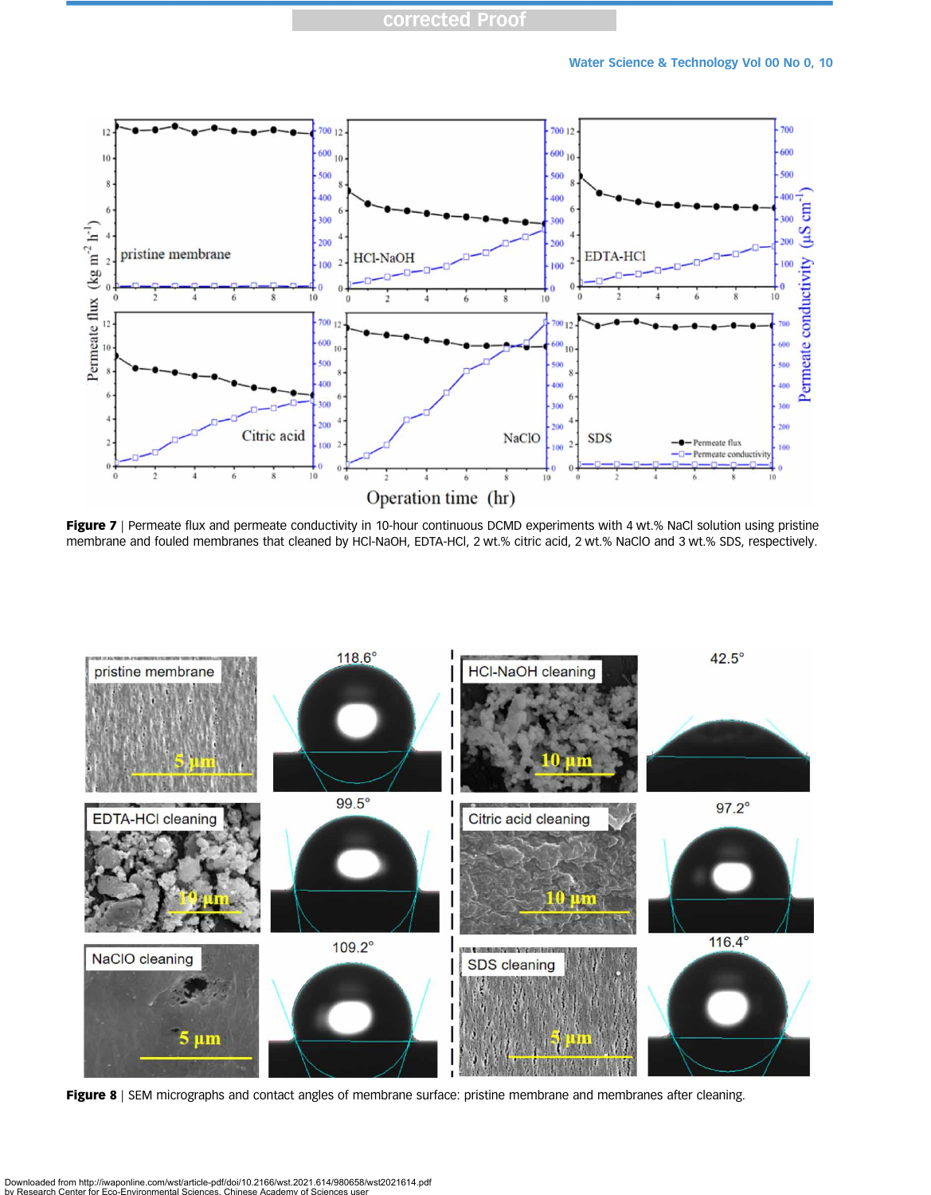<span id="page-9-0"></span>

Figure 7 | Permeate flux and permeate conductivity in 10-hour continuous DCMD experiments with 4 wt.% NaCl solution using pristine membrane and fouled membranes that cleaned by HCl-NaOH, EDTA-HCl, 2 wt.% citric acid, 2 wt.% NaClO and 3 wt.% SDS, respectively.



Figure 8 | SEM micrographs and contact angles of membrane surface: pristine membrane and membranes after cleaning.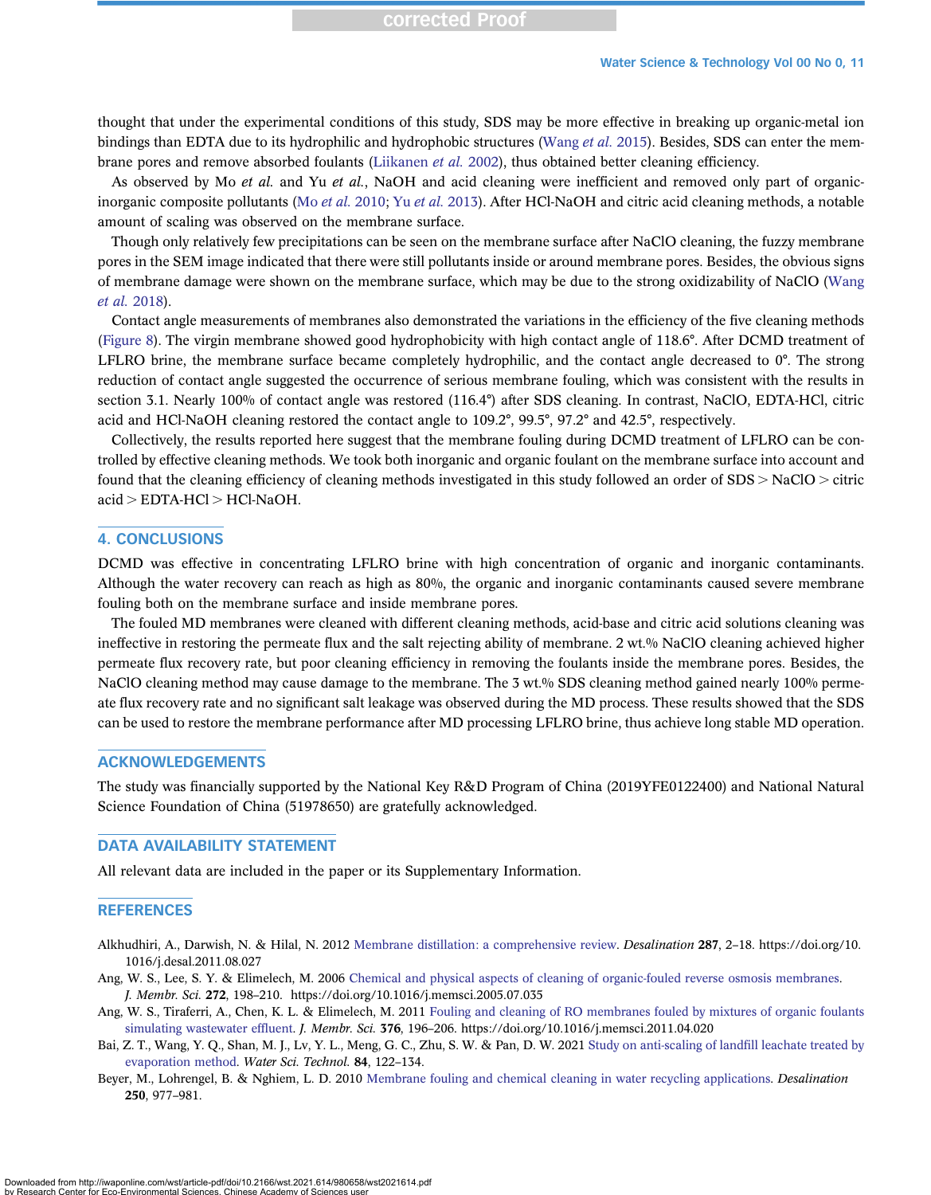<span id="page-10-0"></span>thought that under the experimental conditions of this study, SDS may be more effective in breaking up organic-metal ion bindings than EDTA due to its hydrophilic and hydrophobic structures [\(Wang](#page-12-0) et al. 2015). Besides, SDS can enter the mem-brane pores and remove absorbed foulants [\(Liikanen](#page-11-0) et al. 2002), thus obtained better cleaning efficiency.

As observed by Mo et al. and Yu et al., NaOH and acid cleaning were inefficient and removed only part of organicinorganic composite pollutants (Mo [et al.](#page-11-0) 2010; Yu et al. [2013](#page-12-0)). After HCl-NaOH and citric acid cleaning methods, a notable amount of scaling was observed on the membrane surface.

Though only relatively few precipitations can be seen on the membrane surface after NaClO cleaning, the fuzzy membrane pores in the SEM image indicated that there were still pollutants inside or around membrane pores. Besides, the obvious signs of membrane damage were shown on the membrane surface, which may be due to the strong oxidizability of NaClO [\(Wang](#page-12-0) [et al.](#page-12-0) 2018).

Contact angle measurements of membranes also demonstrated the variations in the efficiency of the five cleaning methods [\(Figure 8\)](#page-9-0). The virgin membrane showed good hydrophobicity with high contact angle of 118.6°. After DCMD treatment of LFLRO brine, the membrane surface became completely hydrophilic, and the contact angle decreased to 0°. The strong reduction of contact angle suggested the occurrence of serious membrane fouling, which was consistent with the results in section 3.1. Nearly 100% of contact angle was restored (116.4°) after SDS cleaning. In contrast, NaClO, EDTA-HCl, citric acid and HCl-NaOH cleaning restored the contact angle to 109.2°, 99.5°, 97.2° and 42.5°, respectively.

Collectively, the results reported here suggest that the membrane fouling during DCMD treatment of LFLRO can be controlled by effective cleaning methods. We took both inorganic and organic foulant on the membrane surface into account and found that the cleaning efficiency of cleaning methods investigated in this study followed an order of  $SDS > NaClO >$  citric  $acid > EDTA-HCl > HCl-NaOH.$ 

#### 4. CONCLUSIONS

DCMD was effective in concentrating LFLRO brine with high concentration of organic and inorganic contaminants. Although the water recovery can reach as high as 80%, the organic and inorganic contaminants caused severe membrane fouling both on the membrane surface and inside membrane pores.

The fouled MD membranes were cleaned with different cleaning methods, acid-base and citric acid solutions cleaning was ineffective in restoring the permeate flux and the salt rejecting ability of membrane. 2 wt.% NaClO cleaning achieved higher permeate flux recovery rate, but poor cleaning efficiency in removing the foulants inside the membrane pores. Besides, the NaClO cleaning method may cause damage to the membrane. The 3 wt.% SDS cleaning method gained nearly 100% permeate flux recovery rate and no significant salt leakage was observed during the MD process. These results showed that the SDS can be used to restore the membrane performance after MD processing LFLRO brine, thus achieve long stable MD operation.

## ACKNOWLEDGEMENTS

The study was financially supported by the National Key R&D Program of China (2019YFE0122400) and National Natural Science Foundation of China (51978650) are gratefully acknowledged.

## DATA AVAILABILITY STATEMENT

All relevant data are included in the paper or its Supplementary Information.

## **REFERENCES**

Alkhudhiri, A., Darwish, N. & Hilal, N. 2012 [Membrane distillation: a comprehensive review.](http://dx.doi.org/10.1016/j.desal.2011.08.027) Desalination 287, 2–18. https://doi.org/10. 1016/j.desal.2011.08.027

Ang, W. S., Lee, S. Y. & Elimelech, M. 2006 [Chemical and physical aspects of cleaning of organic-fouled reverse osmosis membranes.](http://dx.doi.org/10.1016/j.memsci.2005.07.035) J. Membr. Sci. 272, 198–210. https://doi.org/10.1016/j.memsci.2005.07.035

- Ang, W. S., Tiraferri, A., Chen, K. L. & Elimelech, M. 2011 [Fouling and cleaning of RO membranes fouled by mixtures of organic foulants](http://dx.doi.org/10.1016/j.memsci.2011.04.020) [simulating wastewater ef](http://dx.doi.org/10.1016/j.memsci.2011.04.020)fluent. J. Membr. Sci. 376, 196–206. https://doi.org/10.1016/j.memsci.2011.04.020
- Bai, Z. T., Wang, Y. Q., Shan, M. J., Lv, Y. L., Meng, G. C., Zhu, S. W. & Pan, D. W. 2021 [Study on anti-scaling of land](http://dx.doi.org/10.2166/wst.2021.210)fill leachate treated by [evaporation method.](http://dx.doi.org/10.2166/wst.2021.210) Water Sci. Technol. 84, 122–134.
- Beyer, M., Lohrengel, B. & Nghiem, L. D. 2010 [Membrane fouling and chemical cleaning in water recycling applications.](http://dx.doi.org/10.1016/j.desal.2009.09.085) Desalination 250, 977–981.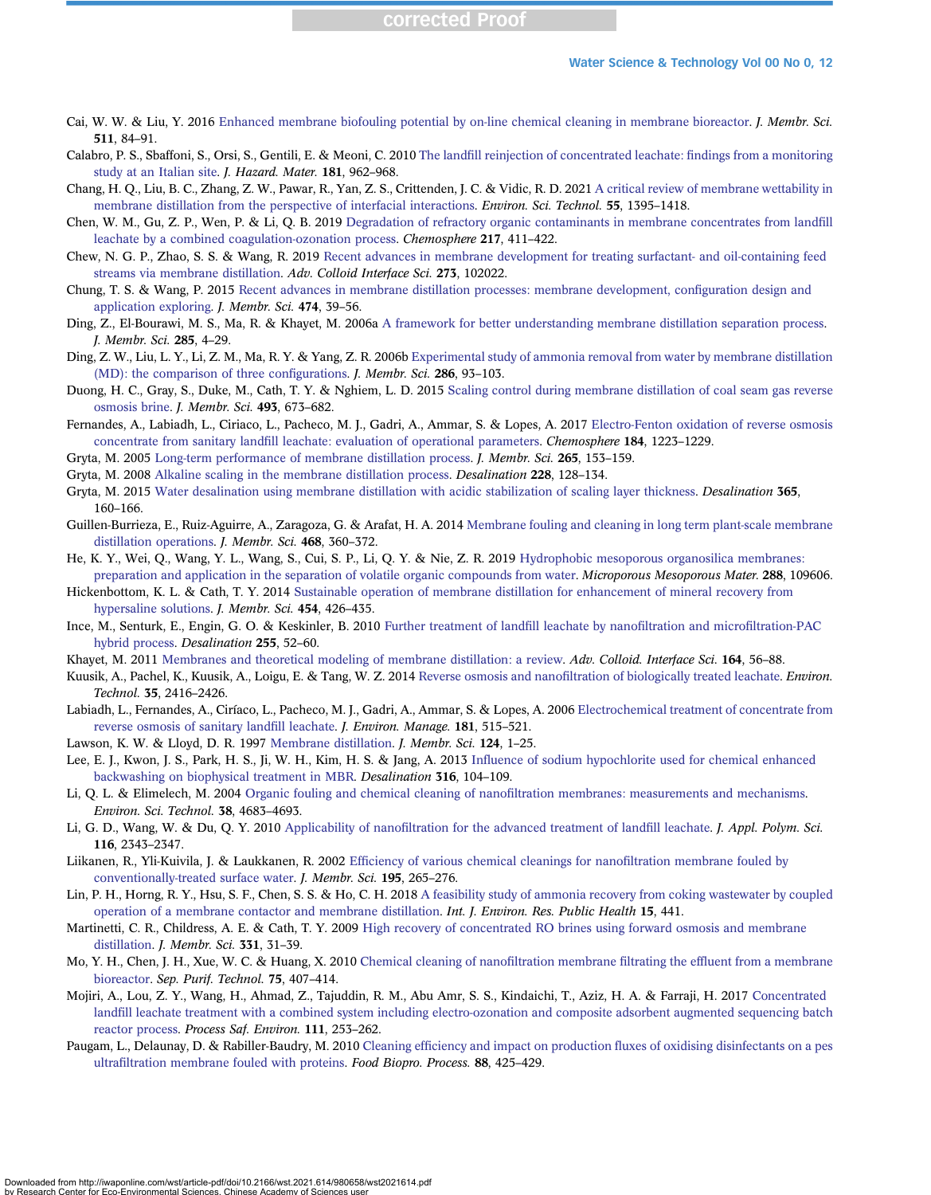- <span id="page-11-0"></span>Cai, W. W. & Liu, Y. 2016 [Enhanced membrane biofouling potential by on-line chemical cleaning in membrane bioreactor.](http://dx.doi.org/10.1016/j.memsci.2016.03.039) J. Membr. Sci. 511, 84–91.
- Calabro, P. S., Sbaffoni, S., Orsi, S., Gentili, E. & Meoni, C. 2010 The landfi[ll reinjection of concentrated leachate:](http://dx.doi.org/10.1016/j.jhazmat.2010.05.107) findings from a monitoring [study at an Italian site](http://dx.doi.org/10.1016/j.jhazmat.2010.05.107). J. Hazard. Mater. 181, 962–968.
- Chang, H. Q., Liu, B. C., Zhang, Z. W., Pawar, R., Yan, Z. S., Crittenden, J. C. & Vidic, R. D. 2021 [A critical review of membrane wettability in](http://dx.doi.org/10.1021/acs.est.0c05454) [membrane distillation from the perspective of interfacial interactions.](http://dx.doi.org/10.1021/acs.est.0c05454) Environ. Sci. Technol. 55, 1395–1418.
- Chen, W. M., Gu, Z. P., Wen, P. & Li, Q. B. 2019 [Degradation of refractory organic contaminants in membrane concentrates from land](http://dx.doi.org/10.1016/j.chemosphere.2018.11.002)fill [leachate by a combined coagulation-ozonation process](http://dx.doi.org/10.1016/j.chemosphere.2018.11.002). Chemosphere 217, 411–422.
- Chew, N. G. P., Zhao, S. S. & Wang, R. 2019 [Recent advances in membrane development for treating surfactant- and oil-containing feed](http://dx.doi.org/10.1016/j.cis.2019.102022) [streams via membrane distillation.](http://dx.doi.org/10.1016/j.cis.2019.102022) Adv. Colloid Interface Sci. 273, 102022.
- Chung, T. S. & Wang, P. 2015 [Recent advances in membrane distillation processes: membrane development, con](http://dx.doi.org/10.1016/j.memsci.2014.09.016)figuration design and [application exploring](http://dx.doi.org/10.1016/j.memsci.2014.09.016). J. Membr. Sci. 474, 39–56.
- Ding, Z., El-Bourawi, M. S., Ma, R. & Khayet, M. 2006a [A framework for better understanding membrane distillation separation process.](http://dx.doi.org/10.1016/j.memsci.2006.08.002) J. Membr. Sci. 285, 4–29.
- Ding, Z. W., Liu, L. Y., Li, Z. M., Ma, R. Y. & Yang, Z. R. 2006b [Experimental study of ammonia removal from water by membrane distillation](http://dx.doi.org/10.1016/j.memsci.2006.09.015) [\(MD\): the comparison of three con](http://dx.doi.org/10.1016/j.memsci.2006.09.015)figurations. *J. Membr. Sci.* 286, 93-103.
- Duong, H. C., Gray, S., Duke, M., Cath, T. Y. & Nghiem, L. D. 2015 [Scaling control during membrane distillation of coal seam gas reverse](http://dx.doi.org/10.1016/j.memsci.2015.07.038) [osmosis brine](http://dx.doi.org/10.1016/j.memsci.2015.07.038). J. Membr. Sci. 493, 673–682.
- Fernandes, A., Labiadh, L., Ciriaco, L., Pacheco, M. J., Gadri, A., Ammar, S. & Lopes, A. 2017 [Electro-Fenton oxidation of reverse osmosis](http://dx.doi.org/10.1016/j.chemosphere.2017.06.088) concentrate from sanitary landfi[ll leachate: evaluation of operational parameters](http://dx.doi.org/10.1016/j.chemosphere.2017.06.088). Chemosphere 184, 1223–1229.
- Gryta, M. 2005 [Long-term performance of membrane distillation process](http://dx.doi.org/10.1016/j.memsci.2005.04.049). J. Membr. Sci. 265, 153–159.
- Gryta, M. 2008 [Alkaline scaling in the membrane distillation process](http://dx.doi.org/10.1016/j.desal.2007.10.004). Desalination 228, 128–134.
- Gryta, M. 2015 [Water desalination using membrane distillation with acidic stabilization of scaling layer thickness](http://dx.doi.org/10.1016/j.desal.2015.02.031). Desalination 365, 160–166.
- Guillen-Burrieza, E., Ruiz-Aguirre, A., Zaragoza, G. & Arafat, H. A. 2014 [Membrane fouling and cleaning in long term plant-scale membrane](http://dx.doi.org/10.1016/j.memsci.2014.05.064) [distillation operations.](http://dx.doi.org/10.1016/j.memsci.2014.05.064) J. Membr. Sci. 468, 360–372.
- He, K. Y., Wei, Q., Wang, Y. L., Wang, S., Cui, S. P., Li, Q. Y. & Nie, Z. R. 2019 [Hydrophobic mesoporous organosilica membranes:](http://dx.doi.org/10.1016/j.micromeso.2019.109606) [preparation and application in the separation of volatile organic compounds from water](http://dx.doi.org/10.1016/j.micromeso.2019.109606). Microporous Mesoporous Mater. 288, 109606.
- Hickenbottom, K. L. & Cath, T. Y. 2014 [Sustainable operation of membrane distillation for enhancement of mineral recovery from](http://dx.doi.org/10.1016/j.memsci.2013.12.043) [hypersaline solutions.](http://dx.doi.org/10.1016/j.memsci.2013.12.043) *J. Membr. Sci.* 454, 426–435.
- Ince, M., Senturk, E., Engin, G. O. & Keskinler, B. 2010 [Further treatment of land](http://dx.doi.org/10.1016/j.desal.2010.01.017)fill leachate by nanofiltration and microfiltration-PAC [hybrid process](http://dx.doi.org/10.1016/j.desal.2010.01.017). Desalination 255, 52–60.
- Khayet, M. 2011 [Membranes and theoretical modeling of membrane distillation: a review.](http://dx.doi.org/10.1016/j.cis.2010.09.005) Adv. Colloid. Interface Sci. 164, 56–88.
- Kuusik, A., Pachel, K., Kuusik, A., Loigu, E. & Tang, W. Z. 2014 Reverse osmosis and nanofi[ltration of biologically treated leachate.](http://dx.doi.org/10.1080/09593330.2014.908241) *Environ.* Technol. 35, 2416–2426.
- Labiadh, L., Fernandes, A., Ciríaco, L., Pacheco, M. J., Gadri, A., Ammar, S. & Lopes, A. 2006 [Electrochemical treatment of concentrate from](http://dx.doi.org/10.1016/j.jenvman.2016.06.069) [reverse osmosis of sanitary land](http://dx.doi.org/10.1016/j.jenvman.2016.06.069)fill leachate. J. Environ. Manage. 181, 515–521.
- Lawson, K. W. & Lloyd, D. R. 1997 [Membrane distillation.](http://dx.doi.org/10.1016/S0376-7388(96)00236-0) J. Membr. Sci. 124, 1–25.
- Lee, E. J., Kwon, J. S., Park, H. S., Ji, W. H., Kim, H. S. & Jang, A. 2013 Infl[uence of sodium hypochlorite used for chemical enhanced](http://dx.doi.org/10.1016/j.desal.2013.02.003) [backwashing on biophysical treatment in MBR.](http://dx.doi.org/10.1016/j.desal.2013.02.003) Desalination 316, 104–109.
- Li, Q. L. & Elimelech, M. 2004 Organic fouling and chemical cleaning of nanofi[ltration membranes: measurements and mechanisms](http://dx.doi.org/10.1021/es0354162). Environ. Sci. Technol. 38, 4683–4693.
- Li, G. D., Wang, W. & Du, Q. Y. 2010 Applicability of nanofi[ltration for the advanced treatment of land](http://dx.doi.org/10.1002/app.31478)fill leachate. J. Appl. Polym. Sci. 116, 2343–2347.
- Liikanen, R., Yli-Kuivila, J. & Laukkanen, R. 2002 Effi[ciency of various chemical cleanings for nano](http://dx.doi.org/10.1016/S0376-7388(01)00569-5)filtration membrane fouled by [conventionally-treated surface water](http://dx.doi.org/10.1016/S0376-7388(01)00569-5). J. Membr. Sci. 195, 265–276.
- Lin, P. H., Horng, R. Y., Hsu, S. F., Chen, S. S. & Ho, C. H. 2018 [A feasibility study of ammonia recovery from coking wastewater by coupled](http://dx.doi.org/10.3390/ijerph15030441) [operation of a membrane contactor and membrane distillation.](http://dx.doi.org/10.3390/ijerph15030441) Int. J. Environ. Res. Public Health 15, 441.
- Martinetti, C. R., Childress, A. E. & Cath, T. Y. 2009 [High recovery of concentrated RO brines using forward osmosis and membrane](http://dx.doi.org/10.1016/j.memsci.2009.01.003) [distillation](http://dx.doi.org/10.1016/j.memsci.2009.01.003). J. Membr. Sci. 331, 31–39.
- Mo, Y. H., Chen, J. H., Xue, W. C. & Huang, X. 2010 [Chemical cleaning of nano](http://dx.doi.org/10.1016/j.seppur.2010.09.011)filtration membrane filtrating the effluent from a membrane [bioreactor](http://dx.doi.org/10.1016/j.seppur.2010.09.011). Sep. Purif. Technol. 75, 407–414.
- Mojiri, A., Lou, Z. Y., Wang, H., Ahmad, Z., Tajuddin, R. M., Abu Amr, S. S., Kindaichi, T., Aziz, H. A. & Farraji, H. 2017 [Concentrated](http://dx.doi.org/10.1016/j.psep.2017.07.013) landfi[ll leachate treatment with a combined system including electro-ozonation and composite adsorbent augmented sequencing batch](http://dx.doi.org/10.1016/j.psep.2017.07.013) [reactor process](http://dx.doi.org/10.1016/j.psep.2017.07.013). Process Saf. Environ. 111, 253–262.
- Paugam, L., Delaunay, D. & Rabiller-Baudry, M. 2010 Cleaning efficiency and impact on production fl[uxes of oxidising disinfectants on a pes](http://dx.doi.org/10.1016/j.fbp.2010.10.005) ultrafi[ltration membrane fouled with proteins.](http://dx.doi.org/10.1016/j.fbp.2010.10.005) Food Biopro. Process. 88, 425–429.